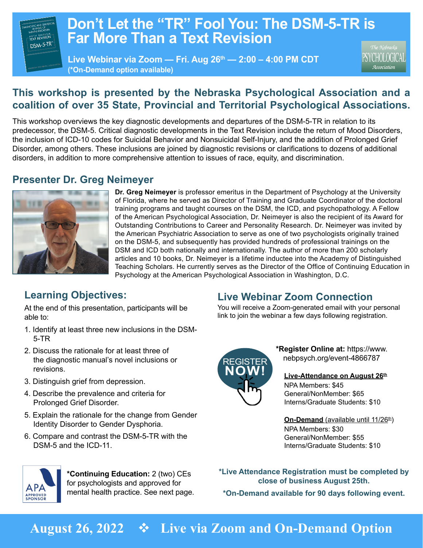# **Don't Let the "TR" Fool You: The DSM-5-TR is Far More Than a Text Revision**

**Live Webinar via Zoom — Fri. Aug 26th — 2:00 – 4:00 PM CDT (\*On-Demand option available)**

'SYCHOLOGICAL Association

# **This workshop is presented by the Nebraska Psychological Association and a coalition of over 35 State, Provincial and Territorial Psychological Associations.**

This workshop overviews the key diagnostic developments and departures of the DSM-5-TR in relation to its predecessor, the DSM-5. Critical diagnostic developments in the Text Revision include the return of Mood Disorders, the inclusion of ICD-10 codes for Suicidal Behavior and Nonsuicidal Self-Injury, and the addition of Prolonged Grief Disorder, among others. These inclusions are joined by diagnostic revisions or clarifications to dozens of additional disorders, in addition to more comprehensive attention to issues of race, equity, and discrimination.

# **Presenter Dr. Greg Neimeyer**



DSM-5-TR

**Dr. Greg Neimeyer** is professor emeritus in the Department of Psychology at the University of Florida, where he served as Director of Training and Graduate Coordinator of the doctoral training programs and taught courses on the DSM, the ICD, and psychopathology. A Fellow of the American Psychological Association, Dr. Neimeyer is also the recipient of its Award for Outstanding Contributions to Career and Personality Research. Dr. Neimeyer was invited by the American Psychiatric Association to serve as one of two psychologists originally trained on the DSM-5, and subsequently has provided hundreds of professional trainings on the DSM and ICD both nationally and internationally. The author of more than 200 scholarly articles and 10 books, Dr. Neimeyer is a lifetime inductee into the Academy of Distinguished Teaching Scholars. He currently serves as the Director of the Office of Continuing Education in Psychology at the American Psychological Association in Washington, D.C.

# **Learning Objectives:**

At the end of this presentation, participants will be able to:

- 1. Identify at least three new inclusions in the DSM-5-TR
- 2. Discuss the rationale for at least three of the diagnostic manual's novel inclusions or revisions.
- 3. Distinguish grief from depression.

**APA APPROVED**<br>SPONSOR

- 4. Describe the prevalence and criteria for Prolonged Grief Disorder.
- 5. Explain the rationale for the change from Gender Identity Disorder to Gender Dysphoria.
- 6. Compare and contrast the DSM-5-TR with the DSM-5 and the ICD-11.



### **Live Webinar Zoom Connection**

You will receive a Zoom-generated email with your personal link to join the webinar a few days following registration.



**\*Register Online at:** https://www. [nebpsych.org/event-4866787](https://www.nebpsych.org/event-4866787)

**Live-Attendance on August 26th** NPA Members: \$45 General/NonMember: \$65 Interns/Graduate Students: \$10

#### **On-Demand** (available until 11/26<sup>th</sup>)

NPA Members: \$30 General/NonMember: \$55 Interns/Graduate Students: \$10

**\*Live Attendance Registration must be completed by close of business August 25th.**

**\*On-Demand available for 90 days following event.**

# **August 26, 2022** v **Live via Zoom and On-Demand Option**